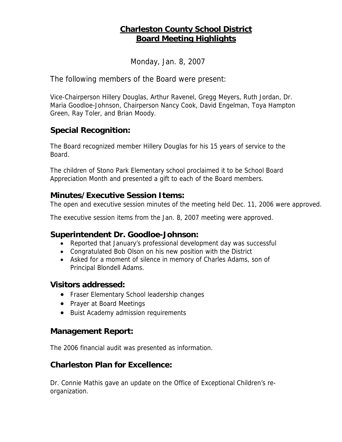# **Charleston County School District Board Meeting Highlights**

Monday, Jan. 8, 2007

The following members of the Board were present:

Vice-Chairperson Hillery Douglas, Arthur Ravenel, Gregg Meyers, Ruth Jordan, Dr. Maria Goodloe-Johnson, Chairperson Nancy Cook, David Engelman, Toya Hampton Green, Ray Toler, and Brian Moody.

### **Special Recognition:**

The Board recognized member Hillery Douglas for his 15 years of service to the Board.

The children of Stono Park Elementary school proclaimed it to be School Board Appreciation Month and presented a gift to each of the Board members.

### **Minutes/Executive Session Items:**

The open and executive session minutes of the meeting held Dec. 11, 2006 were approved.

The executive session items from the Jan. 8, 2007 meeting were approved.

### **Superintendent Dr. Goodloe-Johnson:**

- Reported that January's professional development day was successful
- Congratulated Bob Olson on his new position with the District
- Asked for a moment of silence in memory of Charles Adams, son of Principal Blondell Adams.

### **Visitors addressed:**

- Fraser Elementary School leadership changes
- Prayer at Board Meetings
- Buist Academy admission requirements

#### **Management Report:**

The 2006 financial audit was presented as information.

#### **Charleston Plan for Excellence:**

Dr. Connie Mathis gave an update on the Office of Exceptional Children's reorganization.